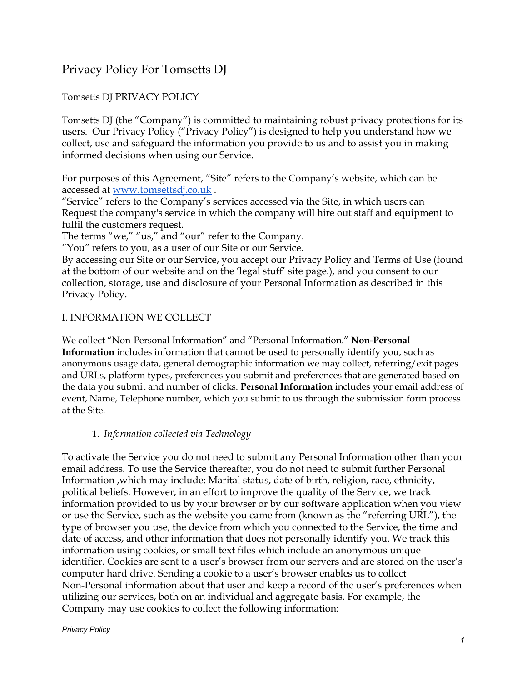# Privacy Policy For Tomsetts DJ

# Tomsetts DJ PRIVACY POLICY

Tomsetts DJ (the "Company") is committed to maintaining robust privacy protections for its users. Our Privacy Policy ("Privacy Policy") is designed to help you understand how we collect, use and safeguard the information you provide to us and to assist you in making informed decisions when using our Service.

For purposes of this Agreement, "Site" refers to the Company's website, which can be accessed at [www.tomsettsdj.co.uk](http://www.tomsettsdj.co.uk/) .

"Service" refers to the Company's services accessed via the Site, in which users can Request the company's service in which the company will hire out staff and equipment to fulfil the customers request.

The terms "we," "us," and "our" refer to the Company.

"You" refers to you, as a user of our Site or our Service.

By accessing our Site or our Service, you accept our Privacy Policy and Terms of Use (found at the bottom of our website and on the 'legal stuff' site page.), and you consent to our collection, storage, use and disclosure of your Personal Information as described in this Privacy Policy.

#### I. INFORMATION WE COLLECT

We collect "Non-Personal Information" and "Personal Information." **Non-Personal Information** includes information that cannot be used to personally identify you, such as anonymous usage data, general demographic information we may collect, referring/exit pages and URLs, platform types, preferences you submit and preferences that are generated based on the data you submit and number of clicks. **Personal Information** includes your email address of event, Name, Telephone number, which you submit to us through the submission form process at the Site.

#### 1. *Information collected via Technology*

To activate the Service you do not need to submit any Personal Information other than your email address. To use the Service thereafter, you do not need to submit further Personal Information ,which may include: Marital status, date of birth, religion, race, ethnicity, political beliefs. However, in an effort to improve the quality of the Service, we track information provided to us by your browser or by our software application when you view or use the Service, such as the website you came from (known as the "referring URL"), the type of browser you use, the device from which you connected to the Service, the time and date of access, and other information that does not personally identify you. We track this information using cookies, or small text files which include an anonymous unique identifier. Cookies are sent to a user's browser from our servers and are stored on the user's computer hard drive. Sending a cookie to a user's browser enables us to collect Non-Personal information about that user and keep a record of the user's preferences when utilizing our services, both on an individual and aggregate basis. For example, the Company may use cookies to collect the following information: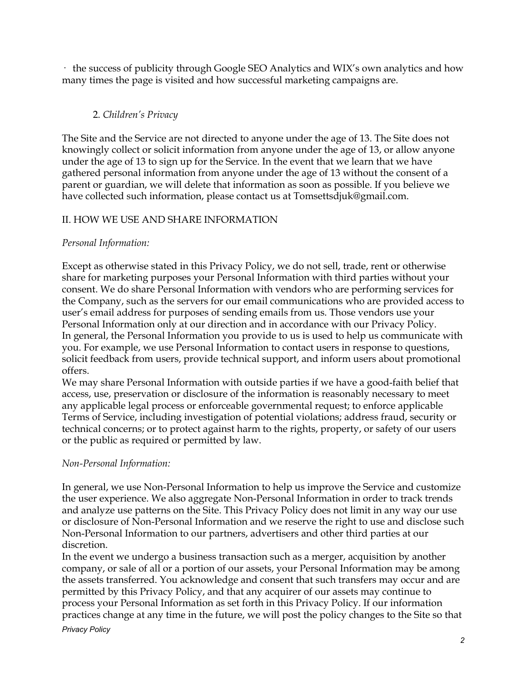· the success of publicity through Google SEO Analytics and WIX's own analytics and how many times the page is visited and how successful marketing campaigns are.

### 2. *Children's Privacy*

The Site and the Service are not directed to anyone under the age of 13. The Site does not knowingly collect or solicit information from anyone under the age of 13, or allow anyone under the age of 13 to sign up for the Service. In the event that we learn that we have gathered personal information from anyone under the age of 13 without the consent of a parent or guardian, we will delete that information as soon as possible. If you believe we have collected such information, please contact us at Tomsettsdjuk@gmail.com.

#### II. HOW WE USE AND SHARE INFORMATION

#### *Personal Information:*

Except as otherwise stated in this Privacy Policy, we do not sell, trade, rent or otherwise share for marketing purposes your Personal Information with third parties without your consent. We do share Personal Information with vendors who are performing services for the Company, such as the servers for our email communications who are provided access to user's email address for purposes of sending emails from us. Those vendors use your Personal Information only at our direction and in accordance with our Privacy Policy. In general, the Personal Information you provide to us is used to help us communicate with you. For example, we use Personal Information to contact users in response to questions, solicit feedback from users, provide technical support, and inform users about promotional offers.

We may share Personal Information with outside parties if we have a good-faith belief that access, use, preservation or disclosure of the information is reasonably necessary to meet any applicable legal process or enforceable governmental request; to enforce applicable Terms of Service, including investigation of potential violations; address fraud, security or technical concerns; or to protect against harm to the rights, property, or safety of our users or the public as required or permitted by law.

#### *Non-Personal Information:*

In general, we use Non-Personal Information to help us improve the Service and customize the user experience. We also aggregate Non-Personal Information in order to track trends and analyze use patterns on the Site. This Privacy Policy does not limit in any way our use or disclosure of Non-Personal Information and we reserve the right to use and disclose such Non-Personal Information to our partners, advertisers and other third parties at our discretion.

In the event we undergo a business transaction such as a merger, acquisition by another company, or sale of all or a portion of our assets, your Personal Information may be among the assets transferred. You acknowledge and consent that such transfers may occur and are permitted by this Privacy Policy, and that any acquirer of our assets may continue to process your Personal Information as set forth in this Privacy Policy. If our information practices change at any time in the future, we will post the policy changes to the Site so that

#### *Privacy Policy*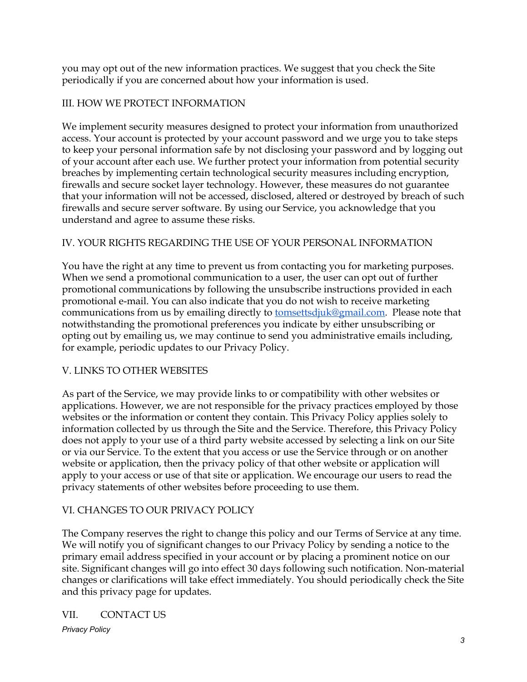you may opt out of the new information practices. We suggest that you check the Site periodically if you are concerned about how your information is used.

### III. HOW WE PROTECT INFORMATION

We implement security measures designed to protect your information from unauthorized access. Your account is protected by your account password and we urge you to take steps to keep your personal information safe by not disclosing your password and by logging out of your account after each use. We further protect your information from potential security breaches by implementing certain technological security measures including encryption, firewalls and secure socket layer technology. However, these measures do not guarantee that your information will not be accessed, disclosed, altered or destroyed by breach of such firewalls and secure server software. By using our Service, you acknowledge that you understand and agree to assume these risks.

## IV. YOUR RIGHTS REGARDING THE USE OF YOUR PERSONAL INFORMATION

You have the right at any time to prevent us from contacting you for marketing purposes. When we send a promotional communication to a user, the user can opt out of further promotional communications by following the unsubscribe instructions provided in each promotional e-mail. You can also indicate that you do not wish to receive marketing communications from us by emailing directly to [tomsettsdjuk@gmail.com.](mailto:tomsettsdjuk@gmail.com) Please note that notwithstanding the promotional preferences you indicate by either unsubscribing or opting out by emailing us, we may continue to send you administrative emails including, for example, periodic updates to our Privacy Policy.

# V. LINKS TO OTHER WEBSITES

As part of the Service, we may provide links to or compatibility with other websites or applications. However, we are not responsible for the privacy practices employed by those websites or the information or content they contain. This Privacy Policy applies solely to information collected by us through the Site and the Service. Therefore, this Privacy Policy does not apply to your use of a third party website accessed by selecting a link on our Site or via our Service. To the extent that you access or use the Service through or on another website or application, then the privacy policy of that other website or application will apply to your access or use of that site or application. We encourage our users to read the privacy statements of other websites before proceeding to use them.

# VI. CHANGES TO OUR PRIVACY POLICY

The Company reserves the right to change this policy and our Terms of Service at any time. We will notify you of significant changes to our Privacy Policy by sending a notice to the primary email address specified in your account or by placing a prominent notice on our site. Significant changes will go into effect 30 days following such notification. Non-material changes or clarifications will take effect immediately. You should periodically check the Site and this privacy page for updates.

#### VII. CONTACT US

*Privacy Policy*